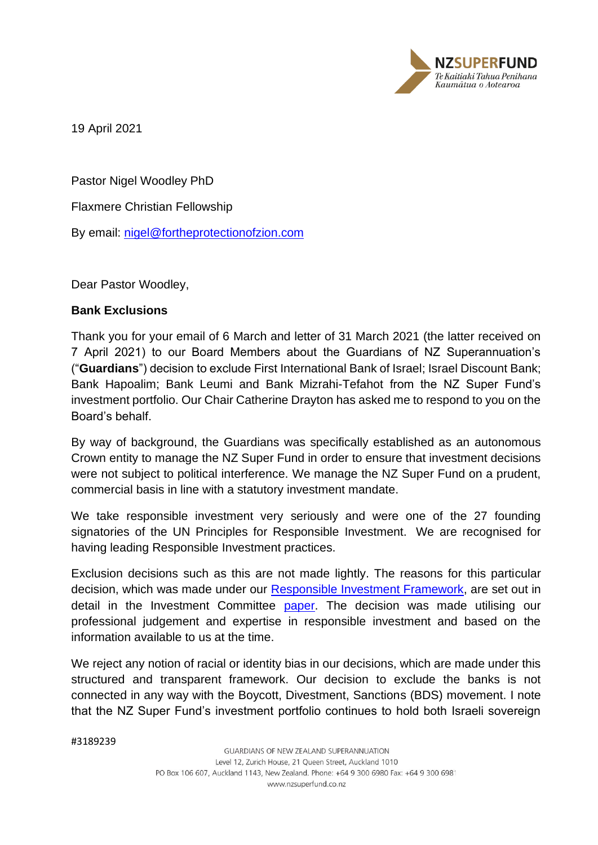

19 April 2021

Pastor Nigel Woodley PhD

Flaxmere Christian Fellowship

By email: [nigel@fortheprotectionofzion.com](mailto:nigel@fortheprotectionofzion.com)

Dear Pastor Woodley,

## **Bank Exclusions**

Thank you for your email of 6 March and letter of 31 March 2021 (the latter received on 7 April 2021) to our Board Members about the Guardians of NZ Superannuation's ("**Guardians**") decision to exclude First International Bank of Israel; Israel Discount Bank; Bank Hapoalim; Bank Leumi and Bank Mizrahi-Tefahot from the NZ Super Fund's investment portfolio. Our Chair Catherine Drayton has asked me to respond to you on the Board's behalf.

By way of background, the Guardians was specifically established as an autonomous Crown entity to manage the NZ Super Fund in order to ensure that investment decisions were not subject to political interference. We manage the NZ Super Fund on a prudent, commercial basis in line with a statutory investment mandate.

We take responsible investment very seriously and were one of the 27 founding signatories of the UN Principles for Responsible Investment. We are recognised for having leading Responsible Investment practices.

Exclusion decisions such as this are not made lightly. The reasons for this particular decision, which was made under our [Responsible Investment Framework,](https://www.nzsuperfund.nz/assets/documents/policies/Responsible-Investment-Framework.pdf) are set out in detail in the Investment Committee [paper.](https://www.nzsuperfund.nz/assets/documents/responsible-investment/R-GNZS-IC-Paper-Exclusion-of-Israeli-Banks-January-2021.pdf) The decision was made utilising our professional judgement and expertise in responsible investment and based on the information available to us at the time.

We reject any notion of racial or identity bias in our decisions, which are made under this structured and transparent framework. Our decision to exclude the banks is not connected in any way with the Boycott, Divestment, Sanctions (BDS) movement. I note that the NZ Super Fund's investment portfolio continues to hold both Israeli sovereign

#3189239